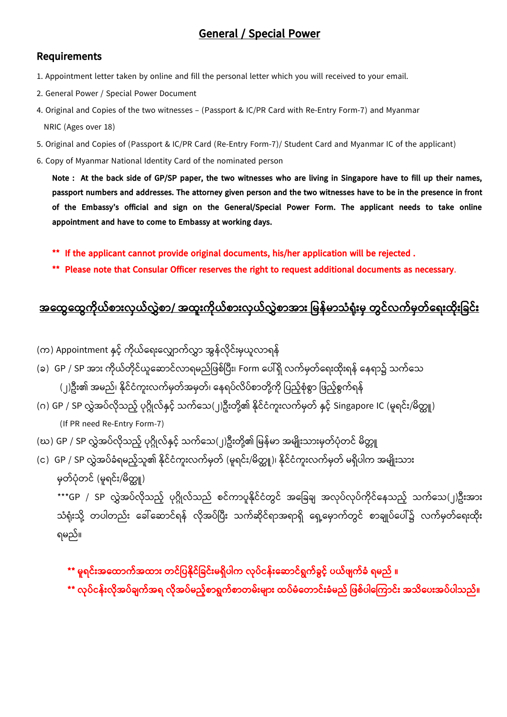## **General / Special Power**

## **Requirements**

- 1. Appointment letter taken by online and fill the personal letter which you will received to your email.
- 2. General Power / Special Power Document
- 4. Original and Copies of the two witnesses (Passport & IC/PR Card with Re-Entry Form-7) and Myanmar NRIC (Ages over 18)
- 5. Original and Copies of (Passport & IC/PR Card (Re-Entry Form-7)/ Student Card and Myanmar IC of the applicant)
- 6. Copy of Myanmar National Identity Card of the nominated person

**Note : At the back side of GP/SP paper, the two witnesses who are living in Singapore have to fill up their names, passport numbers and addresses. The attorney given person and the two witnesses have to be in the presence in front of the Embassy's official and sign on the General/Special Power Form. The applicant needs to take online appointment and have to come to Embassy at working days.** 

- **\*\* If the applicant cannot provide original documents, his/her application will be rejected .**
- **\*\* Please note that Consular Officer reserves the right to request additional documents as necessary**.

## <u>အထွေထွေကိုယ်စားလှယ်လွှဲစာ/ အထူးကိုယ်စားလှယ်လွှဲစာအား မြန်မာသံရုံးမှ တွင်လက်မှတ်ရေးထိုးခြင်း</u>

- (က) Appointment နှင့် ကိုယ်ရေးလျှောက်လွှာ အွန်လိုင်းမှယူလာရန်
- (ခ) GP / SP အား ကိုယ်တိုင်ယူဆောင်လာရမည်ဖြစ်ပြီး၊ Form ပေါ်ရှိ လက်မှတ်ရေးထိုးရန် နေရာ၌ သက်သေ (၂)ဦး၏ အမည်၊ နိုင်ငံကူးလက်မှတ်အမှတ်၊ နေရပ်လိပ်စာတို့ကို ပြည့်စုံစွာ ဖြည့်စွက်ရန်
- (ဂ) GP / SP လွှဲအပ်လိုသည့် ပုဂ္ဂိုလ်နှင့် သက်သေ(၂)ဦးတို့၏ နိုင်ငံကူးလက်မှတ် နှင့် Singapore IC (မူရင်း/မိတ္တူ) (If PR need Re-Entry Form-7)
- (ဃ) GP / SP လွှဲအပ်ဲလိုသည့် ပုဂ္ဂိုလ်နှင့် သက်သေ(၂)ဦးတို့၏ မြန်မာ အမျိုးသားမှတ်ပုံတင် မိတ္တူ
- (င) GP / SP လွှဲအပ်ခံရမည့်သူ၏ နိုင်ငံကူးလက်မှတ် (မူရင်း/မိတ္တူ)၊ နိုင်ငံကူးလက်မှတ် မရှိပါက အမျိုးသား မှတ်ပုံတင် (မူရင်း/မိတ္တူ)

\*\*\*GP / SP လွှဲအပ်လိုသည့် ပုဂ္ဂိုလ်သည့် စင်ကာပူနိုင်ငံတွင် အခြေချ အလုပ်လုပ်ကိုင်နေသည့် သက်သေ(၂)ဦးအား သံရုံးသို့ တပါတည်း ခေါ်ဆောင်ရန် လိုအပ်ပြီး သက်ဆိုင်ရာအရာရှိ ရေ့မှောက်တွင် စာချုပ်ပေါ်၌ လက်မှတ်ရေးထိုး ရမည်။

**\*\* ြ င်ားအထ ာက်အ ာား တင်မြန ိုင်မြင်ားြ ှ ြါက လိုြ်ငန်ားထ ာင် ွက်ြွေင့်် ြယ်ဖျက်ြံ ြည် ။**

**\*\* လိုြ်ငန်ားလ ိုအြ်ြျက်အ လ ိုအြ်ြည့််စာ ွက်စာတြ်ားြျာား ြ်ြံထတာင်ားြံြည် မဖစ်ြါထ ကာင်ား အသ ထြားအြ်ြါသည်။**